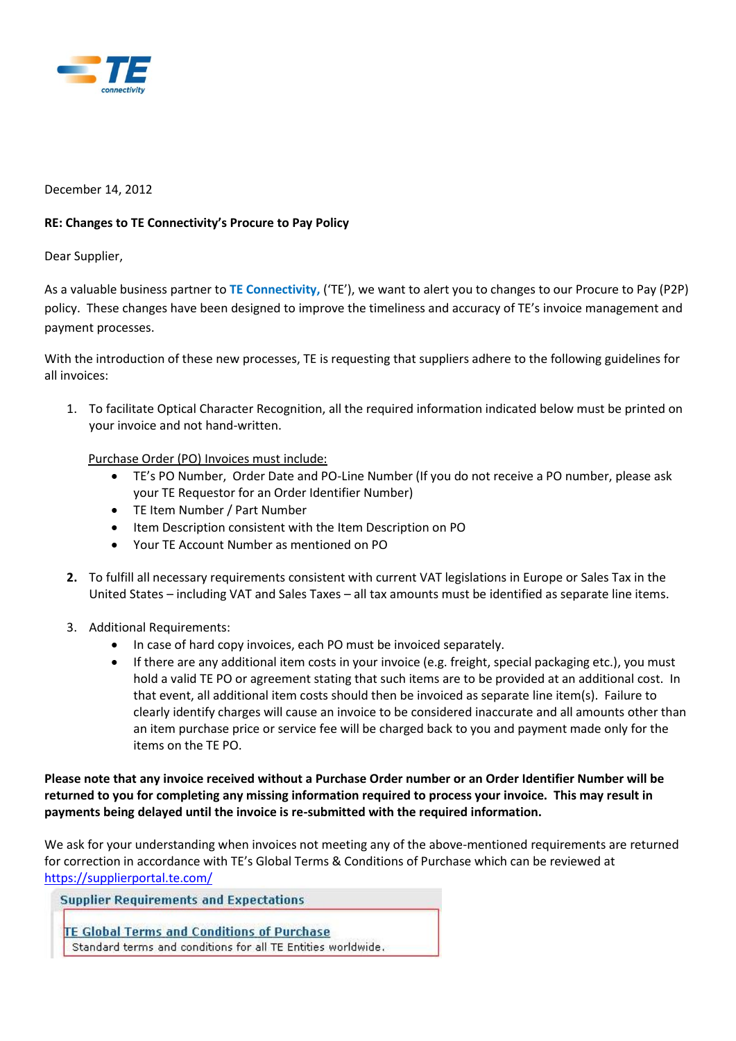

#### December 14, 2012

### **RE: Changes to TE Connectivity's Procure to Pay Policy**

### Dear Supplier,

As a valuable business partner to **TE Connectivity,** ('TE'), we want to alert you to changes to our Procure to Pay (P2P) policy. These changes have been designed to improve the timeliness and accuracy of TE's invoice management and payment processes.

With the introduction of these new processes, TE is requesting that suppliers adhere to the following guidelines for all invoices:

1. To facilitate Optical Character Recognition, all the required information indicated below must be printed on your invoice and not hand-written.

### Purchase Order (PO) Invoices must include:

- TE's PO Number, Order Date and PO-Line Number (If you do not receive a PO number, please ask your TE Requestor for an Order Identifier Number)
- TE Item Number / Part Number
- Item Description consistent with the Item Description on PO
- Your TE Account Number as mentioned on PO
- **2.** To fulfill all necessary requirements consistent with current VAT legislations in Europe or Sales Tax in the United States – including VAT and Sales Taxes – all tax amounts must be identified as separate line items.
- 3. Additional Requirements:
	- In case of hard copy invoices, each PO must be invoiced separately.
	- If there are any additional item costs in your invoice (e.g. freight, special packaging etc.), you must hold a valid TE PO or agreement stating that such items are to be provided at an additional cost. In that event, all additional item costs should then be invoiced as separate line item(s). Failure to clearly identify charges will cause an invoice to be considered inaccurate and all amounts other than an item purchase price or service fee will be charged back to you and payment made only for the items on the TE PO.

**Please note that any invoice received without a Purchase Order number or an Order Identifier Number will be returned to you for completing any missing information required to process your invoice. This may result in payments being delayed until the invoice is re-submitted with the required information.** 

We ask for your understanding when invoices not meeting any of the above-mentioned requirements are returned for correction in accordance with TE's Global Terms & Conditions of Purchase which can be reviewed at <https://supplierportal.te.com/>

**Supplier Requirements and Expectations TE Global Terms and Conditions of Purchase** Standard terms and conditions for all TE Entities worldwide.